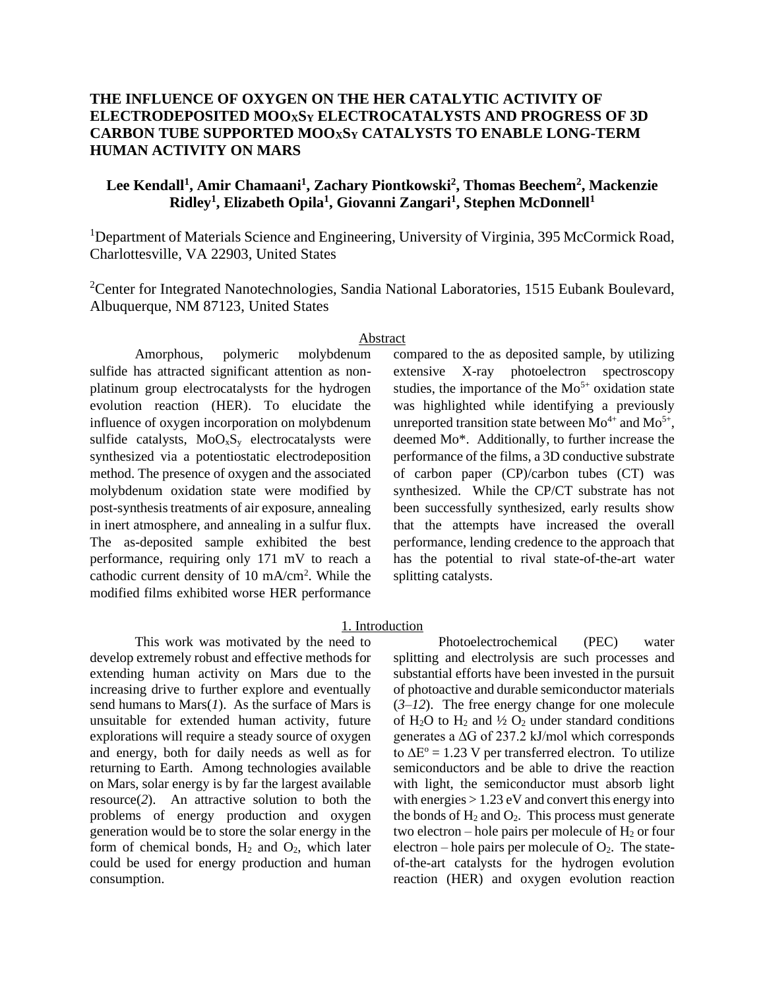# **THE INFLUENCE OF OXYGEN ON THE HER CATALYTIC ACTIVITY OF ELECTRODEPOSITED MOOXS<sup>Y</sup> ELECTROCATALYSTS AND PROGRESS OF 3D CARBON TUBE SUPPORTED MOOXS<sup>Y</sup> CATALYSTS TO ENABLE LONG-TERM HUMAN ACTIVITY ON MARS**

# **Lee Kendall<sup>1</sup> , Amir Chamaani<sup>1</sup> , Zachary Piontkowski<sup>2</sup> , Thomas Beechem<sup>2</sup> , Mackenzie Ridley<sup>1</sup> , Elizabeth Opila<sup>1</sup> , Giovanni Zangari<sup>1</sup> , Stephen McDonnell<sup>1</sup>**

<sup>1</sup>Department of Materials Science and Engineering, University of Virginia, 395 McCormick Road, Charlottesville, VA 22903, United States

<sup>2</sup>Center for Integrated Nanotechnologies, Sandia National Laboratories, 1515 Eubank Boulevard, Albuquerque, NM 87123, United States

#### Abstract

Amorphous, polymeric molybdenum sulfide has attracted significant attention as nonplatinum group electrocatalysts for the hydrogen evolution reaction (HER). To elucidate the influence of oxygen incorporation on molybdenum sulfide catalysts,  $MoO<sub>x</sub>S<sub>y</sub>$  electrocatalysts were synthesized via a potentiostatic electrodeposition method. The presence of oxygen and the associated molybdenum oxidation state were modified by post-synthesis treatments of air exposure, annealing in inert atmosphere, and annealing in a sulfur flux. The as-deposited sample exhibited the best performance, requiring only 171 mV to reach a cathodic current density of 10 mA/cm<sup>2</sup>. While the modified films exhibited worse HER performance

compared to the as deposited sample, by utilizing extensive X-ray photoelectron spectroscopy studies, the importance of the  $Mo<sup>5+</sup>$  oxidation state was highlighted while identifying a previously unreported transition state between  $Mo^{4+}$  and  $Mo^{5+}$ , deemed Mo\*. Additionally, to further increase the performance of the films, a 3D conductive substrate of carbon paper (CP)/carbon tubes (CT) was synthesized. While the CP/CT substrate has not been successfully synthesized, early results show that the attempts have increased the overall performance, lending credence to the approach that has the potential to rival state-of-the-art water splitting catalysts.

#### 1. Introduction

This work was motivated by the need to develop extremely robust and effective methods for extending human activity on Mars due to the increasing drive to further explore and eventually send humans to Mars(*1*). As the surface of Mars is unsuitable for extended human activity, future explorations will require a steady source of oxygen and energy, both for daily needs as well as for returning to Earth. Among technologies available on Mars, solar energy is by far the largest available resource(*2*). An attractive solution to both the problems of energy production and oxygen generation would be to store the solar energy in the form of chemical bonds,  $H_2$  and  $O_2$ , which later could be used for energy production and human consumption.

Photoelectrochemical (PEC) water splitting and electrolysis are such processes and substantial efforts have been invested in the pursuit of photoactive and durable semiconductor materials (*3*–*12*). The free energy change for one molecule of  $H_2O$  to  $H_2$  and  $\frac{1}{2}O_2$  under standard conditions generates a ∆G of 237.2 kJ/mol which corresponds to  $\Delta E^{\circ} = 1.23$  V per transferred electron. To utilize semiconductors and be able to drive the reaction with light, the semiconductor must absorb light with energies  $> 1.23$  eV and convert this energy into the bonds of  $H_2$  and  $O_2$ . This process must generate two electron – hole pairs per molecule of  $H_2$  or four electron – hole pairs per molecule of  $O_2$ . The stateof-the-art catalysts for the hydrogen evolution reaction (HER) and oxygen evolution reaction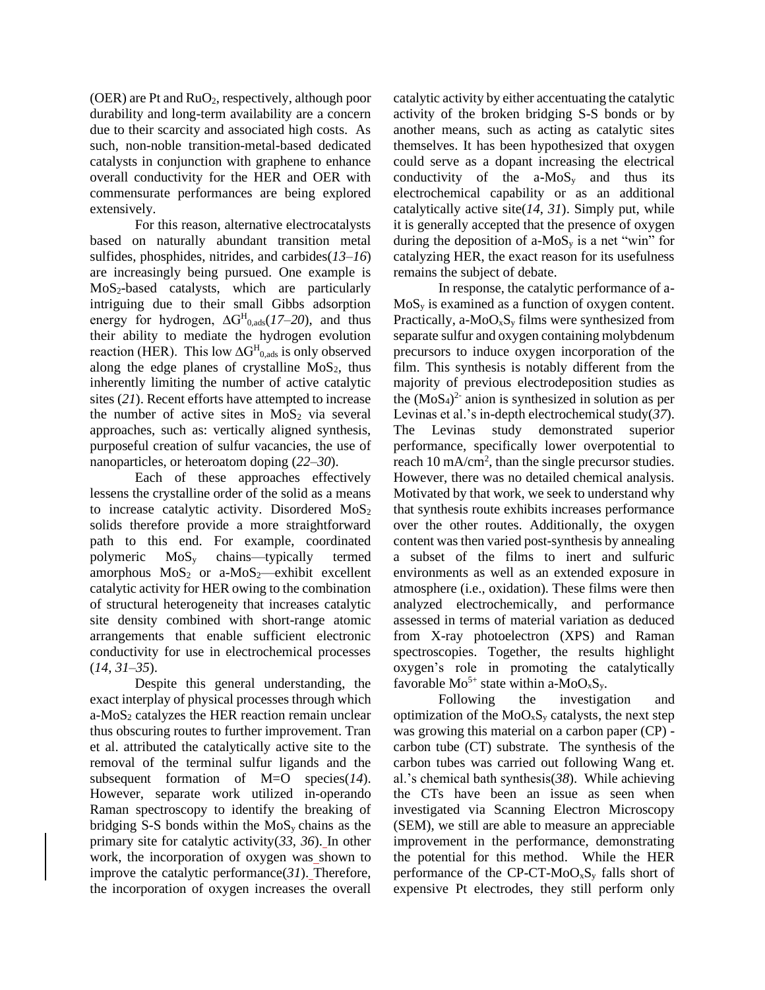(OER) are Pt and  $RuO<sub>2</sub>$ , respectively, although poor durability and long-term availability are a concern due to their scarcity and associated high costs. As such, non-noble transition-metal-based dedicated catalysts in conjunction with graphene to enhance overall conductivity for the HER and OER with commensurate performances are being explored extensively.

For this reason, alternative electrocatalysts based on naturally abundant transition metal sulfides, phosphides, nitrides, and carbides(*13*–*16*) are increasingly being pursued. One example is  $MoS<sub>2</sub>$ -based catalysts, which are particularly intriguing due to their small Gibbs adsorption energy for hydrogen,  $\Delta G^H_{0,ads}(17–20)$ , and thus their ability to mediate the hydrogen evolution reaction (HER). This low  $\Delta G^H_{0,ads}$  is only observed along the edge planes of crystalline  $MoS<sub>2</sub>$ , thus inherently limiting the number of active catalytic sites (*21*). Recent efforts have attempted to increase the number of active sites in  $MoS<sub>2</sub>$  via several approaches, such as: vertically aligned synthesis, purposeful creation of sulfur vacancies, the use of nanoparticles, or heteroatom doping (*22*–*30*).

Each of these approaches effectively lessens the crystalline order of the solid as a means to increase catalytic activity. Disordered  $MoS<sub>2</sub>$ solids therefore provide a more straightforward path to this end. For example, coordinated polymeric MoS<sup>y</sup> chains—typically termed amorphous  $MoS<sub>2</sub>$  or a-MoS<sub>2</sub>—exhibit excellent catalytic activity for HER owing to the combination of structural heterogeneity that increases catalytic site density combined with short-range atomic arrangements that enable sufficient electronic conductivity for use in electrochemical processes (*14*, *31*–*35*).

Despite this general understanding, the exact interplay of physical processes through which  $a-MoS<sub>2</sub>$  catalyzes the HER reaction remain unclear thus obscuring routes to further improvement. Tran et al. attributed the catalytically active site to the removal of the terminal sulfur ligands and the subsequent formation of M=O species(*14*). However, separate work utilized in-operando Raman spectroscopy to identify the breaking of bridging S-S bonds within the  $MoS<sub>v</sub>$  chains as the primary site for catalytic activity(*33*, *36*). In other work, the incorporation of oxygen was shown to improve the catalytic performance(*31*). Therefore, the incorporation of oxygen increases the overall

catalytic activity by either accentuating the catalytic activity of the broken bridging S-S bonds or by another means, such as acting as catalytic sites themselves. It has been hypothesized that oxygen could serve as a dopant increasing the electrical conductivity of the  $a-MoS_y$  and thus its electrochemical capability or as an additional catalytically active site(*14*, *31*). Simply put, while it is generally accepted that the presence of oxygen during the deposition of a-MoS<sub>y</sub> is a net "win" for catalyzing HER, the exact reason for its usefulness remains the subject of debate.

In response, the catalytic performance of a- $MoS<sub>v</sub>$  is examined as a function of oxygen content. Practically, a- $MoO<sub>x</sub>S<sub>y</sub>$  films were synthesized from separate sulfur and oxygen containing molybdenum precursors to induce oxygen incorporation of the film. This synthesis is notably different from the majority of previous electrodeposition studies as the  $(MoS<sub>4</sub>)<sup>2</sup>$  anion is synthesized in solution as per Levinas et al.'s in-depth electrochemical study(*37*). The Levinas study demonstrated superior performance, specifically lower overpotential to reach 10 mA/cm<sup>2</sup>, than the single precursor studies. However, there was no detailed chemical analysis. Motivated by that work, we seek to understand why that synthesis route exhibits increases performance over the other routes. Additionally, the oxygen content was then varied post-synthesis by annealing a subset of the films to inert and sulfuric environments as well as an extended exposure in atmosphere (i.e., oxidation). These films were then analyzed electrochemically, and performance assessed in terms of material variation as deduced from X-ray photoelectron (XPS) and Raman spectroscopies. Together, the results highlight oxygen's role in promoting the catalytically favorable  $Mo^{5+}$  state within a-MoO<sub>x</sub>S<sub>y</sub>.

Following the investigation and optimization of the  $MoO<sub>x</sub>S<sub>y</sub>$  catalysts, the next step was growing this material on a carbon paper (CP) carbon tube (CT) substrate. The synthesis of the carbon tubes was carried out following Wang et. al.'s chemical bath synthesis(*38*). While achieving the CTs have been an issue as seen when investigated via Scanning Electron Microscopy (SEM), we still are able to measure an appreciable improvement in the performance, demonstrating the potential for this method. While the HER performance of the CP-CT-MoO<sub>x</sub>S<sub>y</sub> falls short of expensive Pt electrodes, they still perform only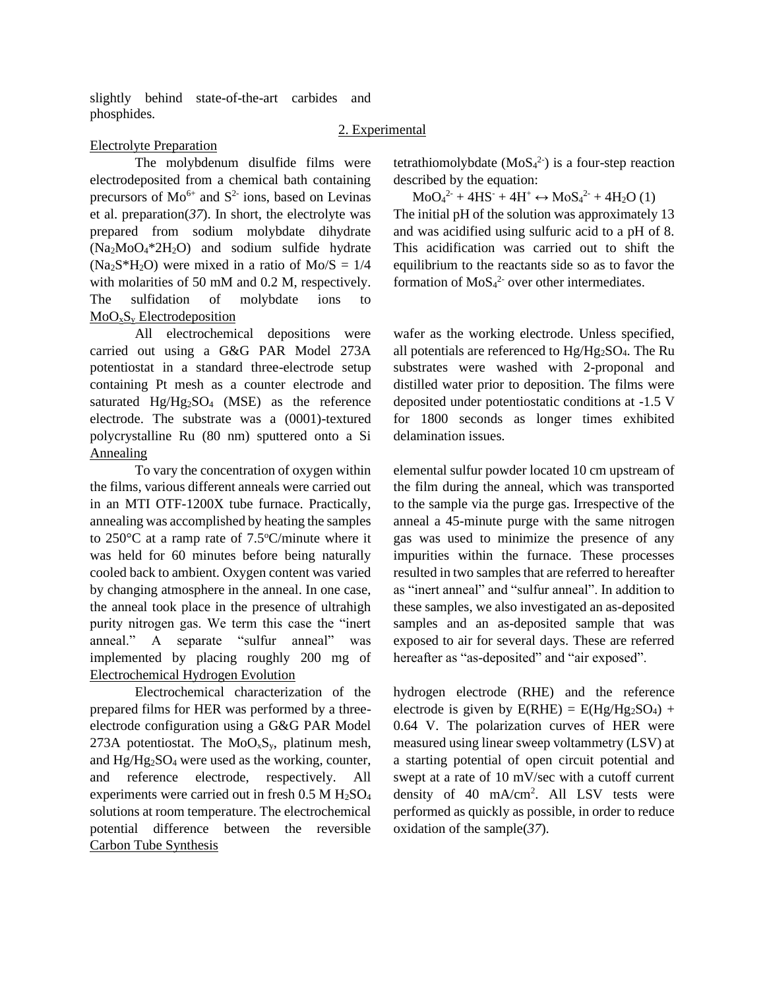slightly behind state-of-the-art carbides and phosphides.

## 2. Experimental

## Electrolyte Preparation

The molybdenum disulfide films were electrodeposited from a chemical bath containing precursors of  $Mo^{6+}$  and  $S^2$  ions, based on Levinas et al. preparation(*37*). In short, the electrolyte was prepared from sodium molybdate dihydrate  $(Na<sub>2</sub>MoO<sub>4</sub>*2H<sub>2</sub>O)$  and sodium sulfide hydrate  $(Na<sub>2</sub>S*H<sub>2</sub>O)$  were mixed in a ratio of  $Mo/S = 1/4$ with molarities of 50 mM and 0.2 M, respectively. The sulfidation of molybdate ions to  $MoO<sub>x</sub>S<sub>y</sub>$  Electrodeposition

All electrochemical depositions were carried out using a G&G PAR Model 273A potentiostat in a standard three-electrode setup containing Pt mesh as a counter electrode and saturated  $Hg/Hg_2SO_4$  (MSE) as the reference electrode. The substrate was a (0001)-textured polycrystalline Ru (80 nm) sputtered onto a Si Annealing

To vary the concentration of oxygen within the films, various different anneals were carried out in an MTI OTF-1200X tube furnace. Practically, annealing was accomplished by heating the samples to  $250^{\circ}$ C at a ramp rate of  $7.5^{\circ}$ C/minute where it was held for 60 minutes before being naturally cooled back to ambient. Oxygen content was varied by changing atmosphere in the anneal. In one case, the anneal took place in the presence of ultrahigh purity nitrogen gas. We term this case the "inert anneal." A separate "sulfur anneal" was implemented by placing roughly 200 mg of Electrochemical Hydrogen Evolution

Electrochemical characterization of the prepared films for HER was performed by a threeelectrode configuration using a G&G PAR Model 273A potentiostat. The  $MoO<sub>x</sub>S<sub>y</sub>$ , platinum mesh, and  $Hg/Hg_2SO_4$  were used as the working, counter, and reference electrode, respectively. All experiments were carried out in fresh  $0.5$  M  $H<sub>2</sub>SO<sub>4</sub>$ solutions at room temperature. The electrochemical potential difference between the reversible Carbon Tube Synthesis

tetrathiomolybdate  $(MoS<sub>4</sub><sup>2</sup>)$  is a four-step reaction described by the equation:

 $MoO<sub>4</sub><sup>2</sup> + 4HS<sup>-</sup> + 4H<sup>+</sup> \leftrightarrow MoS<sub>4</sub><sup>2</sup> + 4H<sub>2</sub>O (1)$ The initial pH of the solution was approximately 13 and was acidified using sulfuric acid to a pH of 8. This acidification was carried out to shift the equilibrium to the reactants side so as to favor the formation of  $MoS<sub>4</sub><sup>2</sup>$  over other intermediates.

wafer as the working electrode. Unless specified, all potentials are referenced to Hg/Hg2SO4. The Ru substrates were washed with 2-proponal and distilled water prior to deposition. The films were deposited under potentiostatic conditions at -1.5 V for 1800 seconds as longer times exhibited delamination issues.

elemental sulfur powder located 10 cm upstream of the film during the anneal, which was transported to the sample via the purge gas. Irrespective of the anneal a 45-minute purge with the same nitrogen gas was used to minimize the presence of any impurities within the furnace. These processes resulted in two samples that are referred to hereafter as "inert anneal" and "sulfur anneal". In addition to these samples, we also investigated an as-deposited samples and an as-deposited sample that was exposed to air for several days. These are referred hereafter as "as-deposited" and "air exposed".

hydrogen electrode (RHE) and the reference electrode is given by  $E(RHE) = E(Hg/Hg_2SO_4) +$ 0.64 V. The polarization curves of HER were measured using linear sweep voltammetry (LSV) at a starting potential of open circuit potential and swept at a rate of 10 mV/sec with a cutoff current density of 40 mA/cm<sup>2</sup> . All LSV tests were performed as quickly as possible, in order to reduce oxidation of the sample(*37*).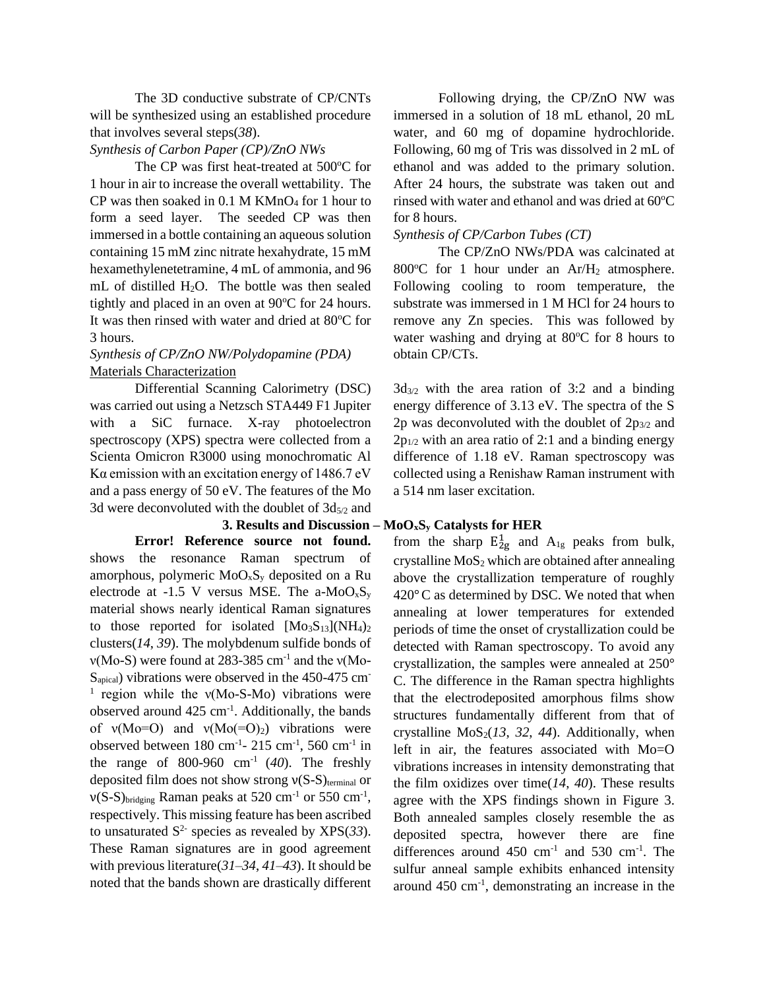The 3D conductive substrate of CP/CNTs will be synthesized using an established procedure that involves several steps(*38*).

#### *Synthesis of Carbon Paper (CP)/ZnO NWs*

The CP was first heat-treated at 500°C for 1 hour in air to increase the overall wettability. The CP was then soaked in  $0.1$  M KMnO<sub>4</sub> for 1 hour to form a seed layer. The seeded CP was then immersed in a bottle containing an aqueous solution containing 15 mM zinc nitrate hexahydrate, 15 mM hexamethylenetetramine, 4 mL of ammonia, and 96 mL of distilled  $H_2O$ . The bottle was then sealed tightly and placed in an oven at  $90^{\circ}$ C for 24 hours. It was then rinsed with water and dried at 80°C for 3 hours.

## *Synthesis of CP/ZnO NW/Polydopamine (PDA)* Materials Characterization

Differential Scanning Calorimetry (DSC) was carried out using a Netzsch STA449 F1 Jupiter with a SiC furnace. X-ray photoelectron spectroscopy (XPS) spectra were collected from a Scienta Omicron R3000 using monochromatic Al K $\alpha$  emission with an excitation energy of 1486.7 eV and a pass energy of 50 eV. The features of the Mo 3d were deconvoluted with the doublet of  $3d_{5/2}$  and

# **Error! Reference source not found.**

shows the resonance Raman spectrum of amorphous, polymeric  $MoO<sub>x</sub>S<sub>y</sub>$  deposited on a Ru electrode at -1.5 V versus MSE. The a- $MoO<sub>x</sub>S<sub>v</sub>$ material shows nearly identical Raman signatures to those reported for isolated  $[Mo<sub>3</sub>S<sub>13</sub>](NH<sub>4</sub>)<sub>2</sub>$ clusters(*14*, *39*). The molybdenum sulfide bonds of  $v(Mo-S)$  were found at 283-385 cm<sup>-1</sup> and the  $v(Mo-S)$ S<sub>apical</sub>) vibrations were observed in the 450-475 cm<sup>-</sup> <sup>1</sup> region while the v(Mo-S-Mo) vibrations were observed around  $425 \text{ cm}^{-1}$ . Additionally, the bands of  $v(Mo=O)$  and  $v(Mo(=O)_2)$  vibrations were observed between  $180 \text{ cm}^{-1}$ -  $215 \text{ cm}^{-1}$ ,  $560 \text{ cm}^{-1}$  in the range of 800-960  $cm^{-1}$  (40). The freshly deposited film does not show strong  $v(S-S)$ <sub>terminal</sub> or  $v(S-S)_{\text{bridging}}$  Raman peaks at 520 cm<sup>-1</sup> or 550 cm<sup>-1</sup>, respectively. This missing feature has been ascribed to unsaturated  $S^2$  species as revealed by XPS(33). These Raman signatures are in good agreement with previous literature(*31*–*34*, *41*–*43*). It should be noted that the bands shown are drastically different

Following drying, the CP/ZnO NW was immersed in a solution of 18 mL ethanol, 20 mL water, and 60 mg of dopamine hydrochloride. Following, 60 mg of Tris was dissolved in 2 mL of ethanol and was added to the primary solution. After 24 hours, the substrate was taken out and rinsed with water and ethanol and was dried at  $60^{\circ}$ C for 8 hours.

### *Synthesis of CP/Carbon Tubes (CT)*

The CP/ZnO NWs/PDA was calcinated at 800 $^{\circ}$ C for 1 hour under an Ar/H<sub>2</sub> atmosphere. Following cooling to room temperature, the substrate was immersed in 1 M HCl for 24 hours to remove any Zn species. This was followed by water washing and drying at  $80^{\circ}$ C for 8 hours to obtain CP/CTs.

 $3d_{3/2}$  with the area ration of 3:2 and a binding energy difference of 3.13 eV. The spectra of the S 2p was deconvoluted with the doublet of  $2p_{3/2}$  and  $2p_{1/2}$  with an area ratio of 2:1 and a binding energy difference of 1.18 eV. Raman spectroscopy was collected using a Renishaw Raman instrument with a 514 nm laser excitation.

## **3. Results and Discussion – MoOxS<sup>y</sup> Catalysts for HER**

from the sharp  $E_{2g}^1$  and  $A_{1g}$  peaks from bulk, crystalline  $MoS<sub>2</sub>$  which are obtained after annealing above the crystallization temperature of roughly 420°C as determined by DSC. We noted that when annealing at lower temperatures for extended periods of time the onset of crystallization could be detected with Raman spectroscopy. To avoid any crystallization, the samples were annealed at 250° C. The difference in the Raman spectra highlights that the electrodeposited amorphous films show structures fundamentally different from that of crystalline  $MoS<sub>2</sub>(13, 32, 44)$ . Additionally, when left in air, the features associated with Mo=O vibrations increases in intensity demonstrating that the film oxidizes over time(*14*, *40*). These results agree with the XPS findings shown in [Figure 3.](#page-6-0) Both annealed samples closely resemble the as deposited spectra, however there are fine differences around  $450 \text{ cm}^{-1}$  and  $530 \text{ cm}^{-1}$ . The sulfur anneal sample exhibits enhanced intensity around 450 cm-1 , demonstrating an increase in the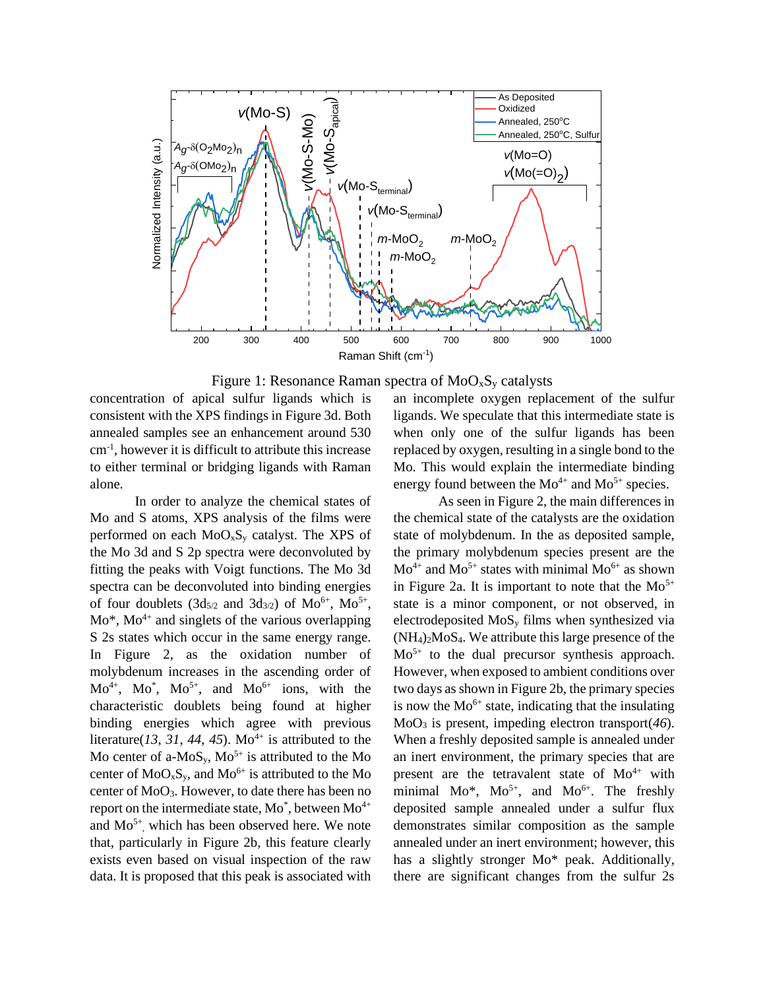

Figure 1: Resonance Raman spectra of  $MoO<sub>x</sub>S<sub>y</sub>$  catalysts

concentration of apical sulfur ligands which is consistent with the XPS findings in [Figure 3d](#page-6-0). Both annealed samples see an enhancement around 530 cm-1 , however it is difficult to attribute this increase to either terminal or bridging ligands with Raman alone.

In order to analyze the chemical states of Mo and S atoms, XPS analysis of the films were performed on each  $MoO<sub>x</sub>S<sub>y</sub>$  catalyst. The XPS of the Mo 3d and S 2p spectra were deconvoluted by fitting the peaks with Voigt functions. The Mo 3d spectra can be deconvoluted into binding energies of four doublets  $(3d_{5/2}$  and  $3d_{3/2})$  of  $Mo^{6+}$ ,  $Mo^{5+}$ ,  $Mo^*, Mo^{4+}$  and singlets of the various overlapping S 2s states which occur in the same energy range. In [Figure 2,](#page-5-0) as the oxidation number of molybdenum increases in the ascending order of  $Mo^{4+}$ ,  $Mo^{*}$ ,  $Mo^{5+}$ , and  $Mo^{6+}$  ions, with the characteristic doublets being found at higher binding energies which agree with previous literature( $13$ ,  $31$ ,  $44$ ,  $45$ ). Mo<sup>4+</sup> is attributed to the Mo center of a-MoS<sub>y</sub>, Mo<sup>5+</sup> is attributed to the Mo center of  $MoO<sub>x</sub>S<sub>y</sub>$ , and  $Mo<sup>6+</sup>$  is attributed to the Mo center of MoO3. However, to date there has been no report on the intermediate state, Mo\*, between  $Mo^{4+}$ and Mo5+ , which has been observed here. We note that, particularly in [Figure 2b](#page-5-0), this feature clearly exists even based on visual inspection of the raw data. It is proposed that this peak is associated with

an incomplete oxygen replacement of the sulfur ligands. We speculate that this intermediate state is when only one of the sulfur ligands has been replaced by oxygen, resulting in a single bond to the Mo. This would explain the intermediate binding energy found between the  $Mo^{4+}$  and  $Mo^{5+}$  species.

As seen i[n Figure 2,](#page-5-0) the main differences in the chemical state of the catalysts are the oxidation state of molybdenum. In the as deposited sample, the primary molybdenum species present are the  $Mo^{4+}$  and  $Mo^{5+}$  states with minimal  $Mo^{6+}$  as shown in [Figure 2a](#page-5-0). It is important to note that the  $Mo^{5+}$ state is a minor component, or not observed, in electrodeposited  $MoS<sub>v</sub>$  films when synthesized via  $(NH_4)$ <sub>2</sub>MoS<sub>4</sub>. We attribute this large presence of the  $Mo<sup>5+</sup>$  to the dual precursor synthesis approach. However, when exposed to ambient conditions over two days as shown in [Figure 2b](#page-5-0), the primary species is now the  $Mo^{6+}$  state, indicating that the insulating MoO<sup>3</sup> is present, impeding electron transport(*46*). When a freshly deposited sample is annealed under an inert environment, the primary species that are present are the tetravalent state of  $Mo^{4+}$  with minimal  $Mo^*, Mo^{5+},$  and  $Mo^{6+}$ . The freshly deposited sample annealed under a sulfur flux demonstrates similar composition as the sample annealed under an inert environment; however, this has a slightly stronger Mo\* peak. Additionally, there are significant changes from the sulfur 2s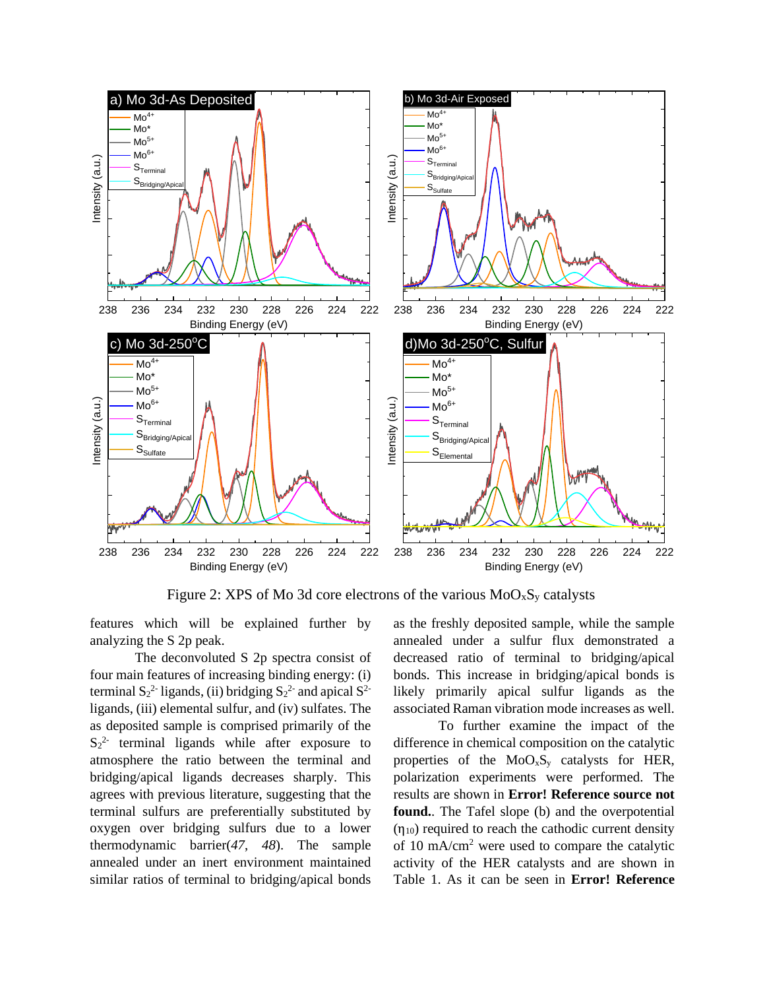

Figure 2: XPS of Mo 3d core electrons of the various  $MoO<sub>x</sub>S<sub>y</sub>$  catalysts

<span id="page-5-0"></span>features which will be explained further by analyzing the S 2p peak.

The deconvoluted S 2p spectra consist of four main features of increasing binding energy: (i) terminal  $S_2^2$ -ligands, (ii) bridging  $S_2^2$ - and apical  $S^2$ ligands, (iii) elemental sulfur, and (iv) sulfates. The as deposited sample is comprised primarily of the  $S_2^2$  terminal ligands while after exposure to atmosphere the ratio between the terminal and bridging/apical ligands decreases sharply. This agrees with previous literature, suggesting that the terminal sulfurs are preferentially substituted by oxygen over bridging sulfurs due to a lower thermodynamic barrier(*47*, *48*). The sample annealed under an inert environment maintained similar ratios of terminal to bridging/apical bonds

as the freshly deposited sample, while the sample annealed under a sulfur flux demonstrated a decreased ratio of terminal to bridging/apical bonds. This increase in bridging/apical bonds is likely primarily apical sulfur ligands as the associated Raman vibration mode increases as well.

To further examine the impact of the difference in chemical composition on the catalytic properties of the  $MoO<sub>x</sub>S<sub>y</sub>$  catalysts for HER, polarization experiments were performed. The results are shown in **Error! Reference source not found.**. The Tafel slope (b) and the overpotential  $(\eta_{10})$  required to reach the cathodic current density of 10 mA/cm<sup>2</sup> were used to compare the catalytic activity of the HER catalysts and are shown in [Table 1.](#page-6-1) As it can be seen in **Error! Reference**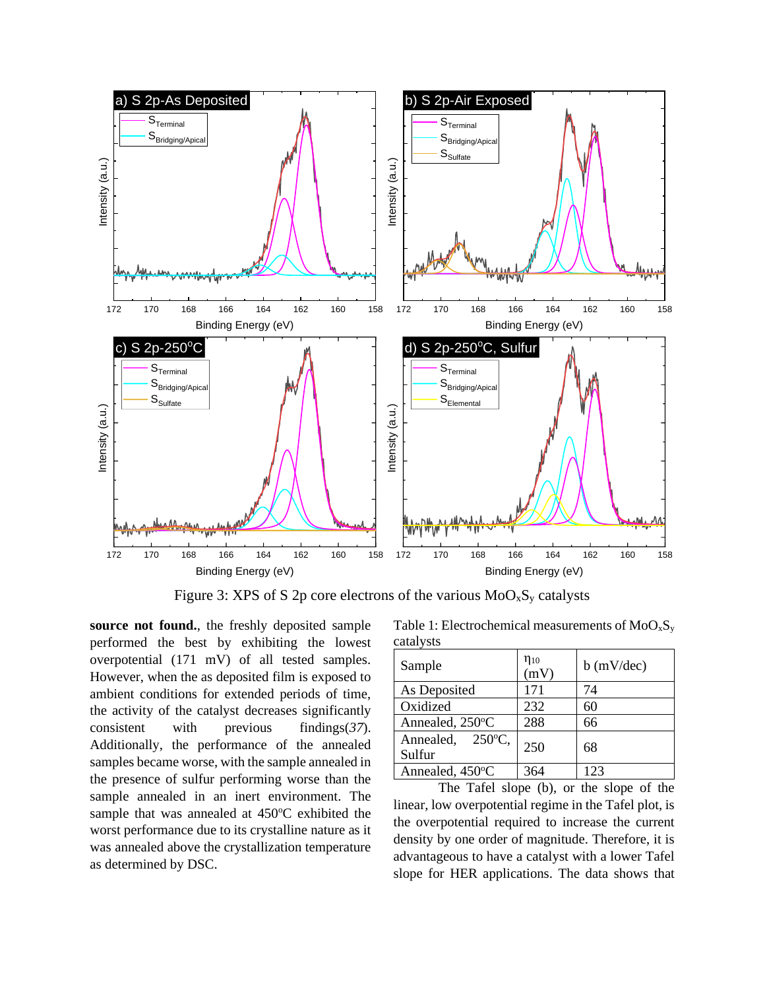

Figure 3: XPS of S 2p core electrons of the various  $MoO<sub>x</sub>S<sub>y</sub>$  catalysts

<span id="page-6-0"></span>**source not found.**, the freshly deposited sample performed the best by exhibiting the lowest overpotential (171 mV) of all tested samples. However, when the as deposited film is exposed to ambient conditions for extended periods of time, the activity of the catalyst decreases significantly consistent with previous findings(*37*). Additionally, the performance of the annealed samples became worse, with the sample annealed in the presence of sulfur performing worse than the sample annealed in an inert environment. The sample that was annealed at 450°C exhibited the worst performance due to its crystalline nature as it was annealed above the crystallization temperature as determined by DSC.

<span id="page-6-1"></span>Table 1: Electrochemical measurements of  $MoO<sub>x</sub>S<sub>y</sub>$ catalysts

| Sample                                  | $\eta_{10}$<br>(mV) | $b$ (mV/dec) |
|-----------------------------------------|---------------------|--------------|
| As Deposited                            | 171                 | 74           |
| Oxidized                                | 232                 | 60           |
| Annealed, 250°C                         | 288                 | 66           |
| $250^{\circ}$ C,<br>Annealed,<br>Sulfur | 250                 | 68           |
| Annealed, 450°C                         | 364                 | 123          |

The Tafel slope (b), or the slope of the linear, low overpotential regime in the Tafel plot, is the overpotential required to increase the current density by one order of magnitude. Therefore, it is advantageous to have a catalyst with a lower Tafel slope for HER applications. The data shows that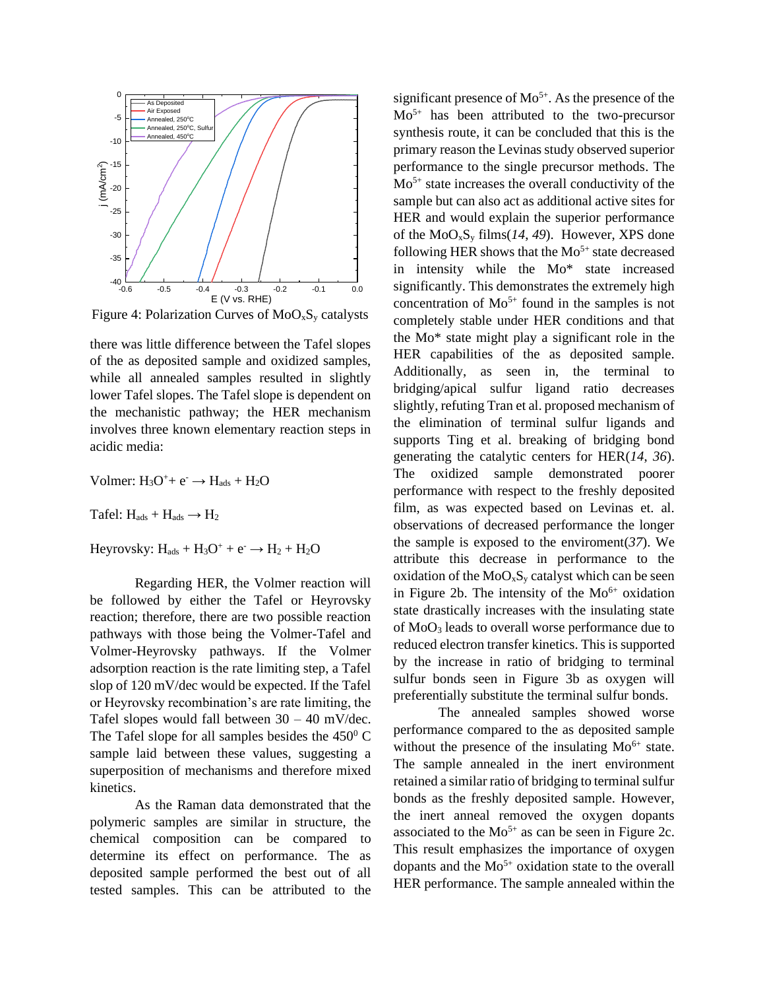

Figure 4: Polarization Curves of  $MoO<sub>x</sub>S<sub>y</sub>$  catalysts

there was little difference between the Tafel slopes of the as deposited sample and oxidized samples, while all annealed samples resulted in slightly lower Tafel slopes. The Tafel slope is dependent on the mechanistic pathway; the HER mechanism involves three known elementary reaction steps in acidic media:

Volmer:  $H_3O^+$ +  $e^ \rightarrow$   $H_{ads}$  +  $H_2O$ 

Tafel:  $H_{ads} + H_{ads} \rightarrow H_2$ 

Heyrovsky:  $H_{ads} + H_3O^+ + e^- \rightarrow H_2 + H_2O$ 

Regarding HER, the Volmer reaction will be followed by either the Tafel or Heyrovsky reaction; therefore, there are two possible reaction pathways with those being the Volmer-Tafel and Volmer-Heyrovsky pathways. If the Volmer adsorption reaction is the rate limiting step, a Tafel slop of 120 mV/dec would be expected. If the Tafel or Heyrovsky recombination's are rate limiting, the Tafel slopes would fall between  $30 - 40$  mV/dec. The Tafel slope for all samples besides the  $450^{\circ}$  C sample laid between these values, suggesting a superposition of mechanisms and therefore mixed kinetics.

As the Raman data demonstrated that the polymeric samples are similar in structure, the chemical composition can be compared to determine its effect on performance. The as deposited sample performed the best out of all tested samples. This can be attributed to the

significant presence of  $Mo^{5+}$ . As the presence of the  $Mo<sup>5+</sup>$  has been attributed to the two-precursor synthesis route, it can be concluded that this is the primary reason the Levinas study observed superior performance to the single precursor methods. The  $Mo<sup>5+</sup>$  state increases the overall conductivity of the sample but can also act as additional active sites for HER and would explain the superior performance of the MoOxS<sup>y</sup> films(*14*, *49*). However, XPS done following HER shows that the  $Mo^{5+}$  state decreased in intensity while the Mo\* state increased  $s_{0.6} = 0.6$   $s_{0.7} = 0.4$   $s_{0.3} = 0.2$   $s_{0.1} = 0.0$  significantly. This demonstrates the extremely high concentration of  $Mo^{5+}$  found in the samples is not completely stable under HER conditions and that the Mo\* state might play a significant role in the HER capabilities of the as deposited sample. Additionally, as seen in, the terminal to bridging/apical sulfur ligand ratio decreases slightly, refuting Tran et al. proposed mechanism of the elimination of terminal sulfur ligands and supports Ting et al. breaking of bridging bond generating the catalytic centers for HER(*14*, *36*). The oxidized sample demonstrated poorer performance with respect to the freshly deposited film, as was expected based on Levinas et. al. observations of decreased performance the longer the sample is exposed to the enviroment(*37*). We attribute this decrease in performance to the oxidation of the  $MoO<sub>x</sub>S<sub>y</sub>$  catalyst which can be seen in [Figure 2b](#page-5-0). The intensity of the  $Mo^{6+}$  oxidation state drastically increases with the insulating state of MoO<sup>3</sup> leads to overall worse performance due to reduced electron transfer kinetics. This is supported by the increase in ratio of bridging to terminal sulfur bonds seen in [Figure 3b](#page-6-0) as oxygen will preferentially substitute the terminal sulfur bonds.

> The annealed samples showed worse performance compared to the as deposited sample without the presence of the insulating  $Mo^{6+}$  state. The sample annealed in the inert environment retained a similar ratio of bridging to terminal sulfur bonds as the freshly deposited sample. However, the inert anneal removed the oxygen dopants associated to the  $Mo^{5+}$  as can be seen in [Figure 2c](#page-5-0). This result emphasizes the importance of oxygen dopants and the  $Mo<sup>5+</sup>$  oxidation state to the overall HER performance. The sample annealed within the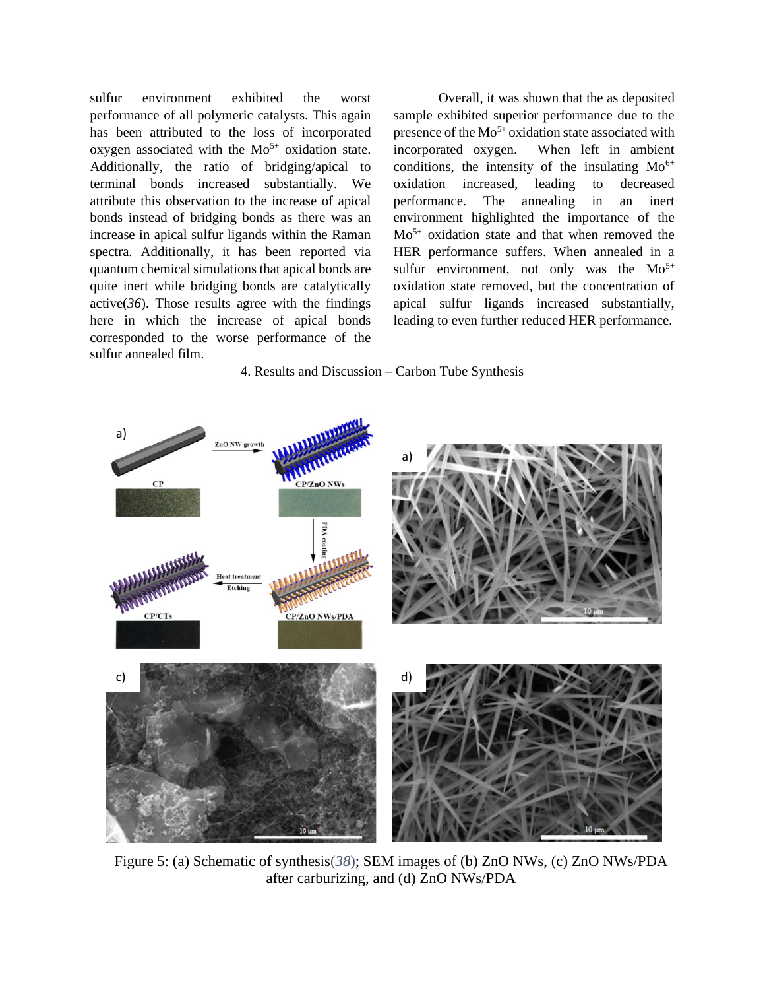sulfur environment exhibited the worst performance of all polymeric catalysts. This again has been attributed to the loss of incorporated oxygen associated with the  $Mo<sup>5+</sup>$  oxidation state. Additionally, the ratio of bridging/apical to terminal bonds increased substantially. We attribute this observation to the increase of apical bonds instead of bridging bonds as there was an increase in apical sulfur ligands within the Raman spectra. Additionally, it has been reported via quantum chemical simulations that apical bonds are quite inert while bridging bonds are catalytically active $(36)$ . Those results agree with the findings here in which the increase of apical bonds corresponded to the worse performance of the sulfur annealed film.

Overall, it was shown that the as deposited sample exhibited superior performance due to the presence of the  $Mo^{5+}$  oxidation state associated with incorporated oxygen. When left in ambient conditions, the intensity of the insulating  $Mo^{6+}$ oxidation increased, leading to decreased performance. The annealing in an inert environment highlighted the importance of the  $Mo<sup>5+</sup>$  oxidation state and that when removed the HER performance suffers. When annealed in a sulfur environment, not only was the  $Mo^{5+}$ oxidation state removed, but the concentration of apical sulfur ligands increased substantially, leading to even further reduced HER performance.





<span id="page-8-0"></span>Figure 5: (a) Schematic of synthesis(*38*); SEM images of (b) ZnO NWs, (c) ZnO NWs/PDA after carburizing, and (d) ZnO NWs/PDA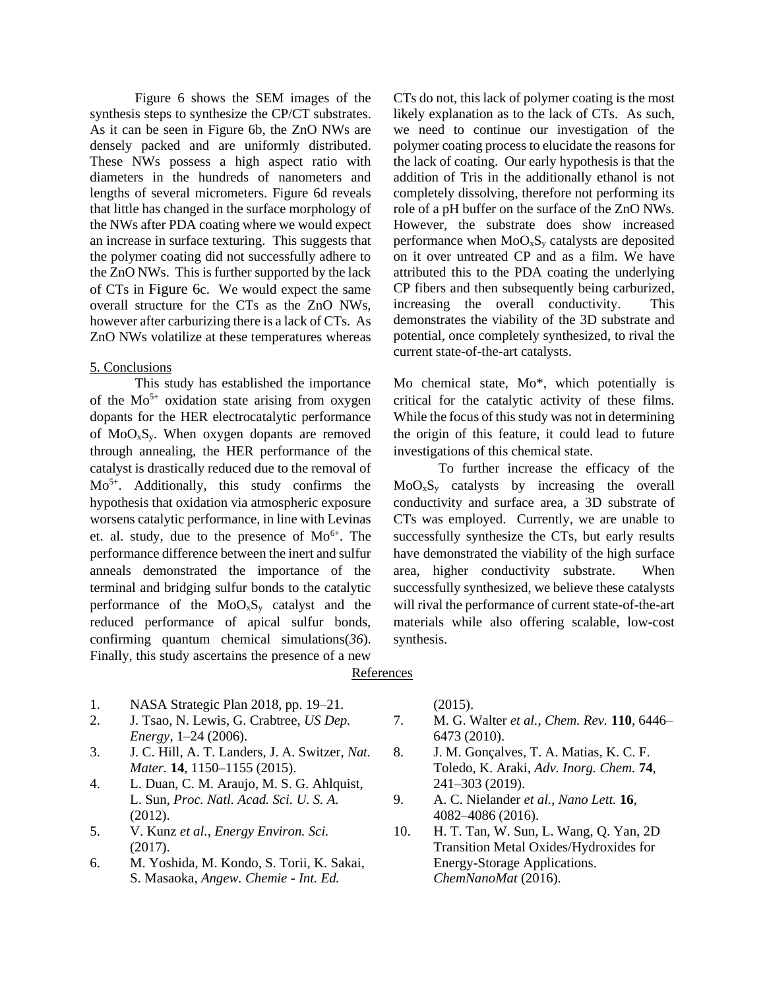[Figure 6](#page-8-0) shows the SEM images of the synthesis steps to synthesize the CP/CT substrates. As it can be seen in [Figure 6b](#page-8-0), the ZnO NWs are densely packed and are uniformly distributed. These NWs possess a high aspect ratio with diameters in the hundreds of nanometers and lengths of several micrometers. [Figure 6d](#page-8-0) reveals that little has changed in the surface morphology of the NWs after PDA coating where we would expect an increase in surface texturing. This suggests that the polymer coating did not successfully adhere to the ZnO NWs. This is further supported by the lack of CTs in [Figure 6](#page-8-0)c. We would expect the same overall structure for the CTs as the ZnO NWs, however after carburizing there is a lack of CTs. As ZnO NWs volatilize at these temperatures whereas

#### 5. Conclusions

This study has established the importance of the  $Mo^{5+}$  oxidation state arising from oxygen dopants for the HER electrocatalytic performance of  $MoO<sub>x</sub>S<sub>y</sub>$ . When oxygen dopants are removed through annealing, the HER performance of the catalyst is drastically reduced due to the removal of  $Mo<sup>5+</sup>$ . Additionally, this study confirms the hypothesis that oxidation via atmospheric exposure worsens catalytic performance, in line with Levinas et. al. study, due to the presence of Mo<sup>6+</sup>. The performance difference between the inert and sulfur anneals demonstrated the importance of the terminal and bridging sulfur bonds to the catalytic performance of the  $MoO<sub>x</sub>S<sub>y</sub>$  catalyst and the reduced performance of apical sulfur bonds, confirming quantum chemical simulations(*36*). Finally, this study ascertains the presence of a new

- 1. NASA Strategic Plan 2018, pp. 19–21.
- 2. J. Tsao, N. Lewis, G. Crabtree, *US Dep. Energy*, 1–24 (2006).
- 3. J. C. Hill, A. T. Landers, J. A. Switzer, *Nat. Mater.* **14**, 1150–1155 (2015).
- 4. L. Duan, C. M. Araujo, M. S. G. Ahlquist, L. Sun, *Proc. Natl. Acad. Sci. U. S. A.* (2012).
- 5. V. Kunz *et al.*, *Energy Environ. Sci.* (2017).
- 6. M. Yoshida, M. Kondo, S. Torii, K. Sakai, S. Masaoka, *Angew. Chemie - Int. Ed.*

CTs do not, this lack of polymer coating is the most likely explanation as to the lack of CTs. As such, we need to continue our investigation of the polymer coating process to elucidate the reasons for the lack of coating. Our early hypothesis is that the addition of Tris in the additionally ethanol is not completely dissolving, therefore not performing its role of a pH buffer on the surface of the ZnO NWs. However, the substrate does show increased performance when  $MoO<sub>x</sub>S<sub>y</sub>$  catalysts are deposited on it over untreated CP and as a film. We have attributed this to the PDA coating the underlying CP fibers and then subsequently being carburized, increasing the overall conductivity. This demonstrates the viability of the 3D substrate and potential, once completely synthesized, to rival the current state-of-the-art catalysts.

Mo chemical state, Mo\*, which potentially is critical for the catalytic activity of these films. While the focus of this study was not in determining the origin of this feature, it could lead to future investigations of this chemical state.

To further increase the efficacy of the  $MoO<sub>x</sub>S<sub>y</sub>$  catalysts by increasing the overall conductivity and surface area, a 3D substrate of CTs was employed. Currently, we are unable to successfully synthesize the CTs, but early results have demonstrated the viability of the high surface area, higher conductivity substrate. When successfully synthesized, we believe these catalysts will rival the performance of current state-of-the-art materials while also offering scalable, low-cost synthesis.

# **References**

(2015).

- 7. M. G. Walter *et al.*, *Chem. Rev.* **110**, 6446– 6473 (2010).
- 8. J. M. Gonçalves, T. A. Matias, K. C. F. Toledo, K. Araki, *Adv. Inorg. Chem.* **74**, 241–303 (2019).
- 9. A. C. Nielander *et al.*, *Nano Lett.* **16**, 4082–4086 (2016).
- 10. H. T. Tan, W. Sun, L. Wang, Q. Yan, 2D Transition Metal Oxides/Hydroxides for Energy-Storage Applications. *ChemNanoMat* (2016).